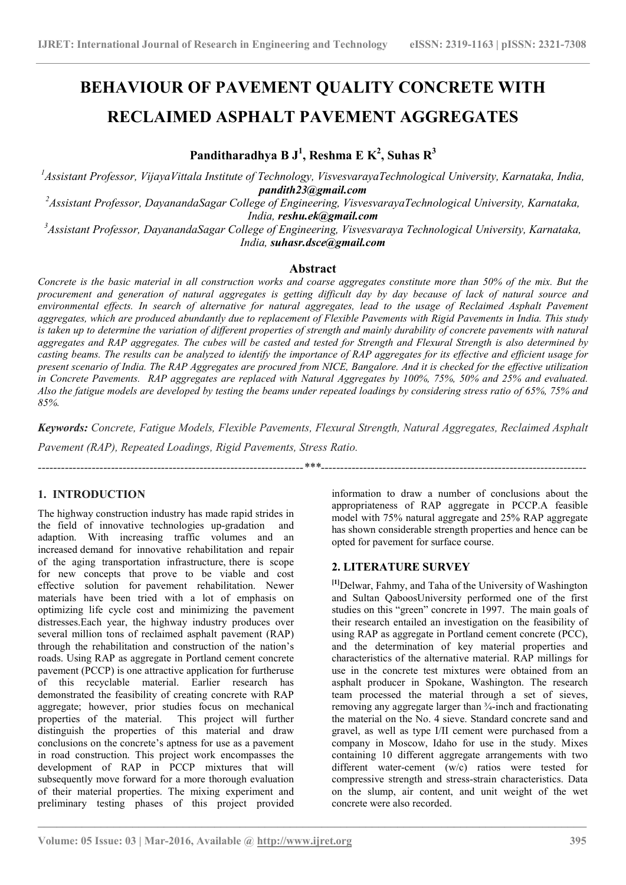# BEHAVIOUR OF PAVEMENT QUALITY CONCRETE WITH RECLAIMED ASPHALT PAVEMENT AGGREGATES

Panditharadhya B  $J^1$ , Reshma E K<sup>2</sup>, Suhas R<sup>3</sup>

<sup>1</sup>Assistant Professor, VijayaVittala Institute of Technology, VisvesvarayaTechnological University, Karnataka, India, pandith23@gmail.com

<sup>2</sup>Assistant Professor, DayanandaSagar College of Engineering, VisvesvarayaTechnological University, Karnataka, India, reshu.ek@gmail.com

 $3A$ ssistant Professor, DavanandaSagar College of Engineering, Visvesvaraya Technological University, Karnataka, India, suhasr.dsce@gmail.com

# Abstract

Concrete is the basic material in all construction works and coarse aggregates constitute more than 50% of the mix. But the procurement and generation of natural aggregates is getting difficult day by day because of lack of natural source and environmental effects. In search of alternative for natural aggregates, lead to the usage of Reclaimed Asphalt Pavement aggregates, which are produced abundantly due to replacement of Flexible Pavements with Rigid Pavements in India. This study is taken up to determine the variation of different properties of strength and mainly durability of concrete pavements with natural aggregates and RAP aggregates. The cubes will be casted and tested for Strength and Flexural Strength is also determined by casting beams. The results can be analyzed to identify the importance of RAP aggregates for its effective and efficient usage for present scenario of India. The RAP Aggregates are procured from NICE, Bangalore. And it is checked for the effective utilization in Concrete Pavements. RAP aggregates are replaced with Natural Aggregates by 100%, 75%, 50% and 25% and evaluated. Also the fatigue models are developed by testing the beams under repeated loadings by considering stress ratio of 65%, 75% and 85%.

Keywords: Concrete, Fatigue Models, Flexible Pavements, Flexural Strength, Natural Aggregates, Reclaimed Asphalt

 $\mathcal{L}_\mathcal{L} = \{ \mathcal{L}_\mathcal{L} = \{ \mathcal{L}_\mathcal{L} = \{ \mathcal{L}_\mathcal{L} = \{ \mathcal{L}_\mathcal{L} = \{ \mathcal{L}_\mathcal{L} = \{ \mathcal{L}_\mathcal{L} = \{ \mathcal{L}_\mathcal{L} = \{ \mathcal{L}_\mathcal{L} = \{ \mathcal{L}_\mathcal{L} = \{ \mathcal{L}_\mathcal{L} = \{ \mathcal{L}_\mathcal{L} = \{ \mathcal{L}_\mathcal{L} = \{ \mathcal{L}_\mathcal{L} = \{ \mathcal{L}_\mathcal{$ 

Pavement (RAP), Repeated Loadings, Rigid Pavements, Stress Ratio.

# 1. INTRODUCTION

The highway construction industry has made rapid strides in the field of innovative technologies up-gradation and adaption. With increasing traffic volumes and an increased demand for innovative rehabilitation and repair of the aging transportation infrastructure, there is scope for new concepts that prove to be viable and cost effective solution for pavement rehabilitation. Newer materials have been tried with a lot of emphasis on optimizing life cycle cost and minimizing the pavement distresses.Each year, the highway industry produces over several million tons of reclaimed asphalt pavement (RAP) through the rehabilitation and construction of the nation's roads. Using RAP as aggregate in Portland cement concrete pavement (PCCP) is one attractive application for furtheruse of this recyclable material. Earlier research has demonstrated the feasibility of creating concrete with RAP aggregate; however, prior studies focus on mechanical properties of the material. This project will further distinguish the properties of this material and draw conclusions on the concrete's aptness for use as a pavement in road construction. This project work encompasses the development of RAP in PCCP mixtures that will subsequently move forward for a more thorough evaluation of their material properties. The mixing experiment and preliminary testing phases of this project provided

information to draw a number of conclusions about the appropriateness of RAP aggregate in PCCP.A feasible model with 75% natural aggregate and 25% RAP aggregate has shown considerable strength properties and hence can be opted for pavement for surface course.

---------------------------------------------------------------------\*\*\*---------------------------------------------------------------------

# 2. LITERATURE SURVEY

[1]Delwar, Fahmy, and Taha of the University of Washington and Sultan QaboosUniversity performed one of the first studies on this "green" concrete in 1997. The main goals of their research entailed an investigation on the feasibility of using RAP as aggregate in Portland cement concrete (PCC), and the determination of key material properties and characteristics of the alternative material. RAP millings for use in the concrete test mixtures were obtained from an asphalt producer in Spokane, Washington. The research team processed the material through a set of sieves, removing any aggregate larger than ¾-inch and fractionating the material on the No. 4 sieve. Standard concrete sand and gravel, as well as type I/II cement were purchased from a company in Moscow, Idaho for use in the study. Mixes containing 10 different aggregate arrangements with two different water-cement (w/c) ratios were tested for compressive strength and stress-strain characteristics. Data on the slump, air content, and unit weight of the wet concrete were also recorded.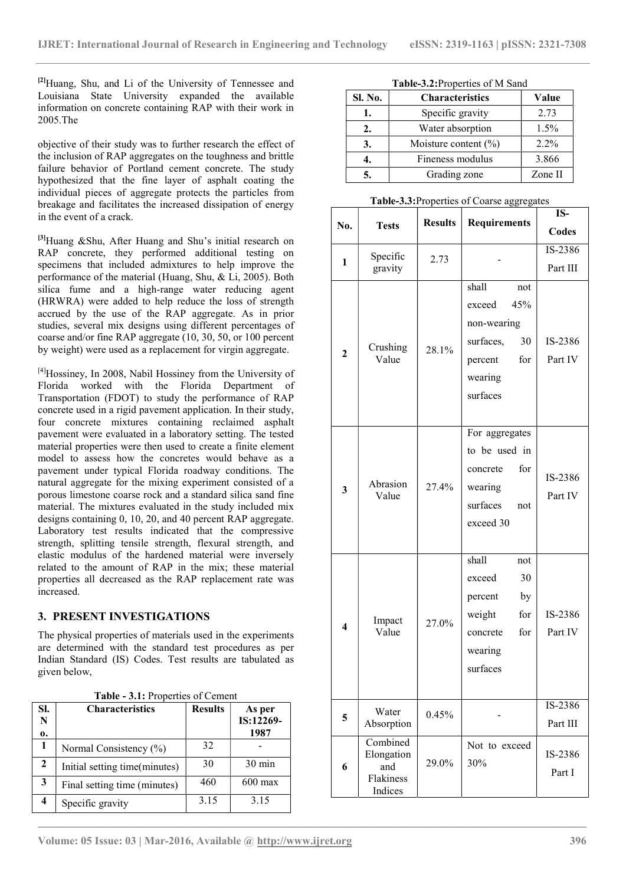<sup>[2]</sup>Huang, Shu, and Li of the University of Tennessee and Louisiana State University expanded the available information on concrete containing RAP with their work in 2005.The

objective of their study was to further research the effect of the inclusion of RAP aggregates on the toughness and brittle failure behavior of Portland cement concrete. The study hypothesized that the fine layer of asphalt coating the individual pieces of aggregate protects the particles from breakage and facilitates the increased dissipation of energy in the event of a crack.

<sup>[3]</sup>Huang &Shu, After Huang and Shu's initial research on RAP concrete, they performed additional testing on specimens that included admixtures to help improve the performance of the material (Huang, Shu, & Li, 2005). Both silica fume and a high-range water reducing agent (HRWRA) were added to help reduce the loss of strength accrued by the use of the RAP aggregate. As in prior studies, several mix designs using different percentages of coarse and/or fine RAP aggregate (10, 30, 50, or 100 percent by weight) were used as a replacement for virgin aggregate.

[4]Hossiney, In 2008, Nabil Hossiney from the University of Florida worked with the Florida Department of Transportation (FDOT) to study the performance of RAP concrete used in a rigid pavement application. In their study, four concrete mixtures containing reclaimed asphalt pavement were evaluated in a laboratory setting. The tested material properties were then used to create a finite element model to assess how the concretes would behave as a pavement under typical Florida roadway conditions. The natural aggregate for the mixing experiment consisted of a porous limestone coarse rock and a standard silica sand fine material. The mixtures evaluated in the study included mix designs containing 0, 10, 20, and 40 percent RAP aggregate. Laboratory test results indicated that the compressive strength, splitting tensile strength, flexural strength, and elastic modulus of the hardened material were inversely related to the amount of RAP in the mix; these material properties all decreased as the RAP replacement rate was increased.

# 3. PRESENT INVESTIGATIONS

The physical properties of materials used in the experiments are determined with the standard test procedures as per Indian Standard (IS) Codes. Test results are tabulated as given below,

|  | Table - 3.1: Properties of Cement |  |  |
|--|-----------------------------------|--|--|
|  |                                   |  |  |

| SI.<br>N<br>0. | <b>Characteristics</b>        | <b>Results</b> | As per<br>IS:12269-<br>1987 |
|----------------|-------------------------------|----------------|-----------------------------|
|                | Normal Consistency (%)        | 32             |                             |
| 2              | Initial setting time(minutes) | 30             | 30 min                      |
| 3              | Final setting time (minutes)  | 460            | $600 \text{ max}$           |
|                | Specific gravity              | 3.15           | 3.15                        |

Table-3.2:Properties of M Sand

| Sl. No. | <b>Characteristics</b>  | Value   |
|---------|-------------------------|---------|
|         | Specific gravity        | 2.73    |
| 2.      | Water absorption        | 1.5%    |
| 3.      | Moisture content $(\%)$ | $2.2\%$ |
|         | Fineness modulus        | 3.866   |
|         | Grading zone            | Zone II |

Table-3.3:Properties of Coarse aggregates

| No.                     | <b>Tests</b>                                          | <b>Results</b> | <b>Requirements</b>                                                                                      | IS-<br>Codes        |
|-------------------------|-------------------------------------------------------|----------------|----------------------------------------------------------------------------------------------------------|---------------------|
| $\mathbf{1}$            | Specific<br>gravity                                   | 2.73           |                                                                                                          | IS-2386<br>Part III |
| $\overline{2}$          | Crushing<br>Value                                     | 28.1%          | shall<br>not<br>45%<br>exceed<br>non-wearing<br>surfaces,<br>30<br>percent<br>for<br>wearing<br>surfaces | IS-2386<br>Part IV  |
| $\overline{\mathbf{3}}$ | Abrasion<br>Value                                     | 27.4%          | For aggregates<br>to be used in<br>for<br>concrete<br>wearing<br>surfaces<br>not<br>exceed 30            | IS-2386<br>Part IV  |
| $\overline{\mathbf{4}}$ | Impact<br>Value                                       | 27.0%          | shall<br>not<br>exceed<br>30<br>percent<br>by<br>weight<br>for<br>for<br>concrete<br>wearing<br>surfaces | IS-2386<br>Part IV  |
| 5                       | Water<br>Absorption                                   | 0.45%          |                                                                                                          | IS-2386<br>Part III |
| 6                       | Combined<br>Elongation<br>and<br>Flakiness<br>Indices | 29.0%          | Not to exceed<br>30%                                                                                     | IS-2386<br>Part I   |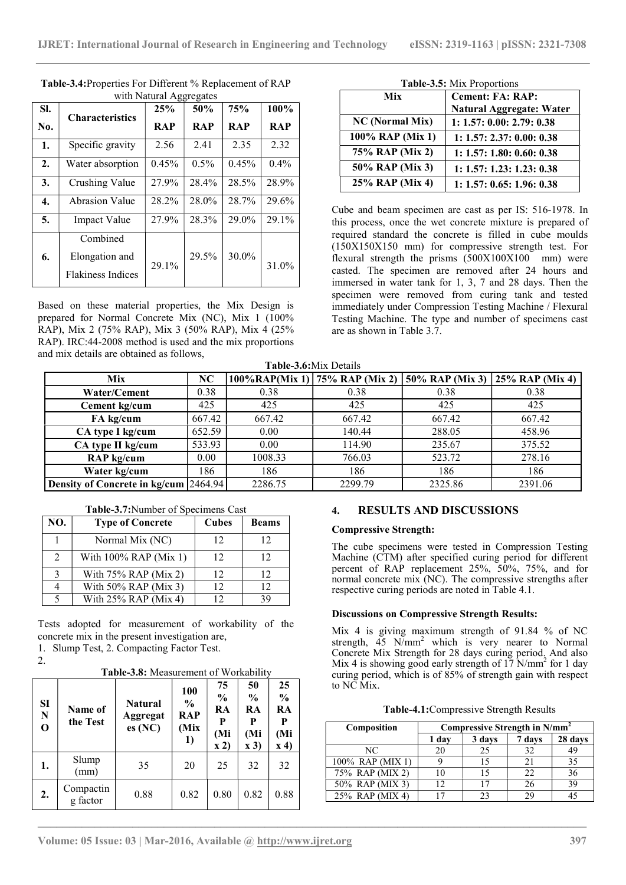|     |                          |            | -------    |            |            |
|-----|--------------------------|------------|------------|------------|------------|
| SI. |                          | 25%        | 50%        | 75%        | 100%       |
| No. | <b>Characteristics</b>   | <b>RAP</b> | <b>RAP</b> | <b>RAP</b> | <b>RAP</b> |
| 1.  | Specific gravity         | 2.56       | 2.41       | 2.35       | 2.32       |
| 2.  | Water absorption         | 0.45%      | $0.5\%$    | 0.45%      | $0.4\%$    |
| 3.  | Crushing Value           | 27.9%      | 28.4%      | 28.5%      | 28.9%      |
| 4.  | Abrasion Value           | 28.2%      | 28.0%      | 28.7%      | 29.6%      |
| 5.  | <b>Impact Value</b>      | 27.9%      | 28.3%      | 29.0%      | 29.1%      |
|     | Combined                 |            |            |            |            |
| 6.  | Elongation and           | 29.1%      | 29.5%      | 30.0%      | 31.0%      |
|     | <b>Flakiness Indices</b> |            |            |            |            |

Table-3.4:Properties For Different % Replacement of RAP with Natural Aggregates

Based on these material properties, the Mix Design is prepared for Normal Concrete Mix (NC), Mix 1 (100% RAP), Mix 2 (75% RAP), Mix 3 (50% RAP), Mix 4 (25% RAP). IRC:44-2008 method is used and the mix proportions and mix details are obtained as follows,

Table-3.5: Mix Proportions

| Mix                    | <b>Cement: FA: RAP:</b>         |
|------------------------|---------------------------------|
|                        | <b>Natural Aggregate: Water</b> |
| <b>NC</b> (Normal Mix) | 1: 1.57: 0.00: 2.79: 0.38       |
| 100% RAP (Mix 1)       | 1: 1.57: 2.37: 0.00: 0.38       |
| 75% RAP (Mix 2)        | 1: 1.57: 1.80: 0.60: 0.38       |
| 50% RAP (Mix 3)        | 1: 1.57: 1.23: 1.23: 0.38       |
| 25% RAP (Mix 4)        | 1: 1.57: 0.65: 1.96: 0.38       |

Cube and beam specimen are cast as per IS: 516-1978. In this process, once the wet concrete mixture is prepared of required standard the concrete is filled in cube moulds (150X150X150 mm) for compressive strength test. For flexural strength the prisms  $(500X100X100$  mm) were casted. The specimen are removed after 24 hours and immersed in water tank for 1, 3, 7 and 28 days. Then the specimen were removed from curing tank and tested immediately under Compression Testing Machine / Flexural Testing Machine. The type and number of specimens cast are as shown in Table 3.7.

Table-3.6:Mix Details

| <b>Mix</b>                            | NC     |         | $100\%$ RAP(Mix 1) 75% RAP (Mix 2) 50% RAP (Mix 3) 25% RAP (Mix 4) |         |         |
|---------------------------------------|--------|---------|--------------------------------------------------------------------|---------|---------|
| Water/Cement                          | 0.38   | 0.38    | 0.38                                                               | 0.38    | 0.38    |
| Cement kg/cum                         | 425    | 425     | 425                                                                | 425     | 425     |
| FA kg/cum                             | 667.42 | 667.42  | 667.42                                                             | 667.42  | 667.42  |
| CA type I kg/cum                      | 652.59 | 0.00    | 140.44                                                             | 288.05  | 458.96  |
| CA type II kg/cum                     | 533.93 | 0.00    | 114.90                                                             | 235.67  | 375.52  |
| RAP kg/cum                            | 0.00   | 1008.33 | 766.03                                                             | 523.72  | 278.16  |
| Water kg/cum                          | 186    | 186     | 186                                                                | 186     | 186     |
| Density of Concrete in kg/cum 2464.94 |        | 2286.75 | 2299.79                                                            | 2325.86 | 2391.06 |

 $\mathcal{L}_\mathcal{L} = \{ \mathcal{L}_\mathcal{L} = \{ \mathcal{L}_\mathcal{L} = \{ \mathcal{L}_\mathcal{L} = \{ \mathcal{L}_\mathcal{L} = \{ \mathcal{L}_\mathcal{L} = \{ \mathcal{L}_\mathcal{L} = \{ \mathcal{L}_\mathcal{L} = \{ \mathcal{L}_\mathcal{L} = \{ \mathcal{L}_\mathcal{L} = \{ \mathcal{L}_\mathcal{L} = \{ \mathcal{L}_\mathcal{L} = \{ \mathcal{L}_\mathcal{L} = \{ \mathcal{L}_\mathcal{L} = \{ \mathcal{L}_\mathcal{$ 

|     | <b>Table-9.</b> <i>I</i> , INGHIBUT OF SPUCIFIUMS CASE |       |              | <b>NESULIS</b>                      |
|-----|--------------------------------------------------------|-------|--------------|-------------------------------------|
| NO. | <b>Type of Concrete</b>                                | Cubes | <b>Beams</b> | <b>Compressive Stre</b>             |
|     | Normal Mix (NC)                                        | 12    | 12           | The cube specime                    |
|     | With $100\%$ RAP (Mix 1)                               | 12    | 12           | Machine (CTM) a                     |
|     | With $75\%$ RAP (Mix 2)                                | 12    | 12           | percent of RAP<br>normal concrete m |
|     | With 50% RAP (Mix 3)                                   | 12    | 12           | respective curing p                 |
|     | With $25\%$ RAP (Mix 4)                                | 12    | 39           |                                     |

Table-3.7:Number of Specimens Cast

Tests adopted for measurement of workability of the concrete mix in the present investigation are,

1. Slump Test, 2. Compacting Factor Test.

2.

Table-3.8: Measurement of Workability

| SI<br>$\mathbf N$<br>$\mathbf 0$ | Name of<br>the Test   | <b>Natural</b><br>Aggregat<br>es(NC) | <b>100</b><br>$\frac{6}{9}$<br>RAP<br>(Mix)<br>1) | 75<br>$\frac{0}{0}$<br>RA<br>(Mi<br>$\mathbf{x}$ 2) | 50<br>$\frac{6}{9}$<br>RA<br>(Mi<br>$\mathbf{x}$ 3) | 25<br>$\frac{0}{0}$<br>RA<br>P<br>(Mi<br>$\mathbf{x}$ 4) |
|----------------------------------|-----------------------|--------------------------------------|---------------------------------------------------|-----------------------------------------------------|-----------------------------------------------------|----------------------------------------------------------|
| 1.                               | Slump<br>(mm)         | 35                                   | 20                                                | 25                                                  | 32                                                  | 32                                                       |
| 2.                               | Compactin<br>g factor | 0.88                                 | 0.82                                              | 0.80                                                | 0.82                                                | 0.88                                                     |

# 4. RESULTS AND DISCUSSIONS

## Compressive Strength:

The cube specimens were tested in Compression Testing Machine (CTM) after specified curing period for different percent of RAP replacement 25%, 50%, 75%, and for normal concrete mix (NC). The compressive strengths after respective curing periods are noted in Table 4.1.

## Discussions on Compressive Strength Results:

Mix 4 is giving maximum strength of 91.84 % of NC strength,  $45$  N/mm<sup>2</sup> which is very nearer to Normal Concrete Mix Strength for 28 days curing period. And also Mix 4 is showing good early strength of  $17 \text{ N/mm}^2$  for 1 day curing period, which is of 85% of strength gain with respect to NC Mix.

|  | Table-4.1: Compressive Strength Results |
|--|-----------------------------------------|
|  |                                         |

| Composition      |                 | Compressive Strength in N/mm <sup>2</sup> |        |         |
|------------------|-----------------|-------------------------------------------|--------|---------|
|                  | 1 day           | 3 days                                    | 7 days | 28 days |
| NC               | 20              | 25                                        | 32     | 49      |
| 100% RAP (MIX 1) |                 | 15                                        | 21     | 35      |
| 75% RAP (MIX 2)  | l O             | 15                                        | 22     | 36      |
| 50% RAP (MIX 3)  | 12              | 17                                        | 26     | 39      |
| 25% RAP (MIX 4)  | . <del>77</del> | つっ                                        | 29     |         |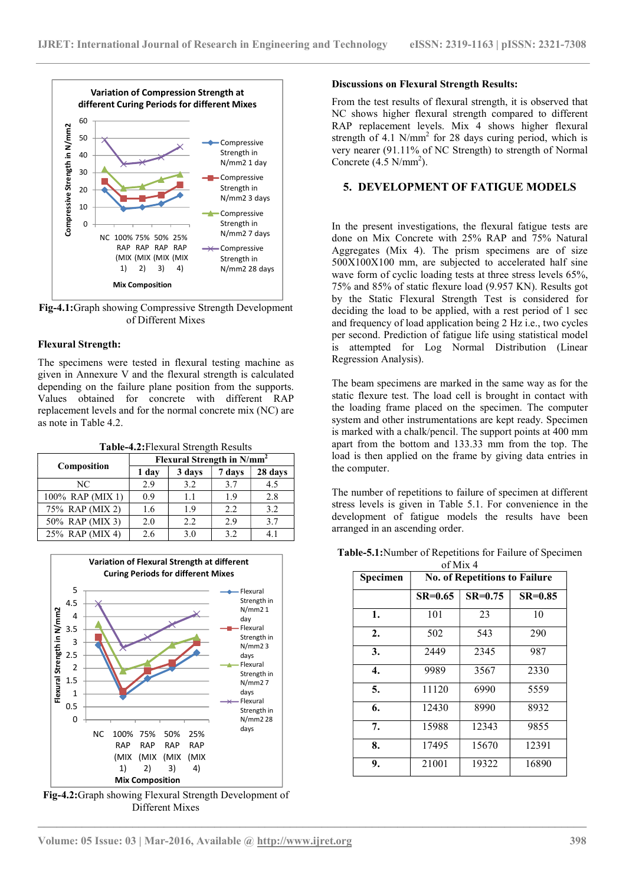

Fig-4.1:Graph showing Compressive Strength Development of Different Mixes

## Flexural Strength:

The specimens were tested in flexural testing machine as given in Annexure V and the flexural strength is calculated depending on the failure plane position from the supports. Values obtained for concrete with different RAP replacement levels and for the normal concrete mix (NC) are as note in Table 4.2.

| Table-4.2: Flexural Strength Results |
|--------------------------------------|
|--------------------------------------|

| Composition      | Flexural Strength in N/mm <sup>2</sup> |        |        |         |
|------------------|----------------------------------------|--------|--------|---------|
|                  | 1 day                                  | 3 days | 7 days | 28 days |
| NC               | 2.9                                    | 3.2    | 3.7    | 4.5     |
| 100% RAP (MIX 1) | 0.9                                    | 1.1    | 1.9    | 2.8     |
| 75% RAP (MIX 2)  | 1.6                                    | 1.9    | 2.2    | 3.2     |
| 50% RAP (MIX 3)  | 2.0                                    | 2.2    | 2.9    | 3.7     |
| 25% RAP (MIX 4)  | 2.6                                    | 3.0    | 3.2    | 4.1     |



Fig-4.2:Graph showing Flexural Strength Development of Different Mixes

#### Discussions on Flexural Strength Results:

From the test results of flexural strength, it is observed that NC shows higher flexural strength compared to different RAP replacement levels. Mix 4 shows higher flexural strength of 4.1 N/mm<sup>2</sup> for 28 days curing period, which is very nearer (91.11% of NC Strength) to strength of Normal  $N/mm^2$  1 day  $\qquad \qquad$  Concrete  $(4.5 \text{ N/mm}^2)$ .

#### 5. DEVELOPMENT OF FATIGUE MODELS

In the present investigations, the flexural fatigue tests are done on Mix Concrete with 25% RAP and 75% Natural Aggregates (Mix 4). The prism specimens are of size 500X100X100 mm, are subjected to accelerated half sine wave form of cyclic loading tests at three stress levels 65%, 75% and 85% of static flexure load (9.957 KN). Results got by the Static Flexural Strength Test is considered for deciding the load to be applied, with a rest period of 1 sec and frequency of load application being 2 Hz i.e., two cycles per second. Prediction of fatigue life using statistical model is attempted for Log Normal Distribution (Linear Regression Analysis).

The beam specimens are marked in the same way as for the static flexure test. The load cell is brought in contact with the loading frame placed on the specimen. The computer system and other instrumentations are kept ready. Specimen is marked with a chalk/pencil. The support points at 400 mm apart from the bottom and 133.33 mm from the top. The load is then applied on the frame by giving data entries in the computer.

The number of repetitions to failure of specimen at different stress levels is given in Table 5.1. For convenience in the development of fatigue models the results have been arranged in an ascending order.

Table-5.1:Number of Repetitions for Failure of Specimen of Mix 4

|                                                                                                      | $01$ NHX 4 |                                      |             |           |  |  |
|------------------------------------------------------------------------------------------------------|------------|--------------------------------------|-------------|-----------|--|--|
|                                                                                                      | Specimen   | <b>No. of Repetitions to Failure</b> |             |           |  |  |
| Flexural<br>Strength in                                                                              |            | $SR=0.65$                            | $SR = 0.75$ | $SR=0.85$ |  |  |
| N/mm 2 1<br>day<br>Flexural<br>Strength in<br>N/mm 23<br>days<br>Flexural<br>Strength in<br>N/mm 2 7 | 1.         | 101                                  | 23          | 10        |  |  |
|                                                                                                      | 2.         | 502                                  | 543         | 290       |  |  |
|                                                                                                      | 3.         | 2449                                 | 2345        | 987       |  |  |
|                                                                                                      | 4.         | 9989                                 | 3567        | 2330      |  |  |
| days<br>Flexural                                                                                     | 5.         | 11120                                | 6990        | 5559      |  |  |
| Strength in<br>N/mm2 28<br>days                                                                      | 6.         | 12430                                | 8990        | 8932      |  |  |
|                                                                                                      | 7.         | 15988                                | 12343       | 9855      |  |  |
|                                                                                                      | 8.         | 17495                                | 15670       | 12391     |  |  |
|                                                                                                      | 9.         | 21001                                | 19322       | 16890     |  |  |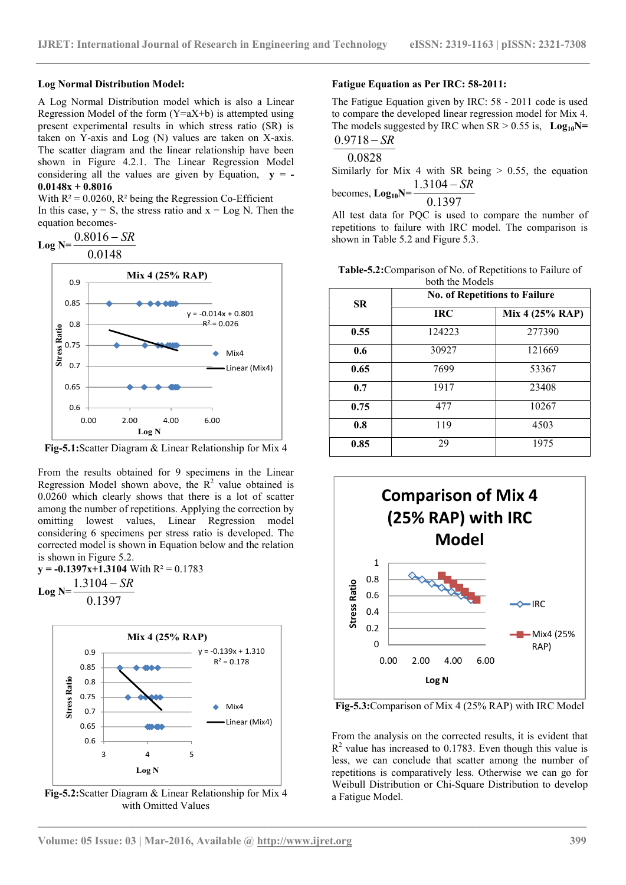#### Log Normal Distribution Model:

A Log Normal Distribution model which is also a Linear Regression Model of the form  $(Y=aX+b)$  is attempted using present experimental results in which stress ratio (SR) is taken on Y-axis and Log (N) values are taken on X-axis. The scatter diagram and the linear relationship have been shown in Figure 4.2.1. The Linear Regression Model considering all the values are given by Equation,  $y = 0.0148x + 0.8016$ 

With  $R^2 = 0.0260$ ,  $R^2$  being the Regression Co-Efficient In this case,  $y = S$ , the stress ratio and  $x = Log N$ . Then the equation becomes-

$$
\text{Log N} = \frac{0.8016 - SR}{0.80448}
$$

$$
0.0148
$$



Fig-5.1:Scatter Diagram & Linear Relationship for Mix 4

From the results obtained for 9 specimens in the Linear Regression Model shown above, the  $R^2$  value obtained is 0.0260 which clearly shows that there is a lot of scatter among the number of repetitions. Applying the correction by omitting lowest values, Linear Regression model considering 6 specimens per stress ratio is developed. The corrected model is shown in Equation below and the relation is shown in Figure 5.2.

 $y = -0.1397x+1.3104$  With  $R^2 = 0.1783$  $1.3104$ 

$$
Log N = \frac{1.3104 - SR}{}
$$

0.1397



Fig-5.2:Scatter Diagram & Linear Relationship for Mix 4 with Omitted Values

#### Fatigue Equation as Per IRC: 58-2011:

The Fatigue Equation given by IRC: 58 - 2011 code is used to compare the developed linear regression model for Mix 4. The models suggested by IRC when  $SR > 0.55$  is,  $Log_{10}N=$  $0.9718 - SR$ 

$$
\overline{0.0828}
$$

heco

Similarly for Mix 4 with SR being  $> 0.55$ , the equation  $1.3104 - SR$ 

$$
5 \text{ times}, \text{Log}_{10}N = \frac{0.1397}{}
$$

All test data for PQC is used to compare the number of repetitions to failure with IRC model. The comparison is shown in Table 5.2 and Figure 5.3.

Table-5.2:Comparison of No. of Repetitions to Failure of both the Models

| $+0.801$       | <b>SR</b> | <b>No. of Repetitions to Failure</b> |                 |  |
|----------------|-----------|--------------------------------------|-----------------|--|
|                |           | <b>IRC</b>                           | Mix 4 (25% RAP) |  |
| 026            | 0.55      | 124223                               | 277390          |  |
| Mix4           | 0.6       | 30927                                | 121669          |  |
| Linear (Mix4)  | 0.65      | 7699                                 | 53367           |  |
|                | 0.7       | 1917                                 | 23408           |  |
|                | 0.75      | 477                                  | 10267           |  |
|                | 0.8       | 119                                  | 4503            |  |
| ship for Mix 4 | 0.85      | 29                                   | 1975            |  |



Mix4 **Fig-5.3:** Comparison of Mix 4 (25% RAP) with IRC Model

From the analysis on the corrected results, it is evident that  $R<sup>2</sup>$  value has increased to 0.1783. Even though this value is less, we can conclude that scatter among the number of Log N Total Comparatively less. Otherwise we can go for Weibull Distribution or Chi-Square Distribution to develop a Fatigue Model.